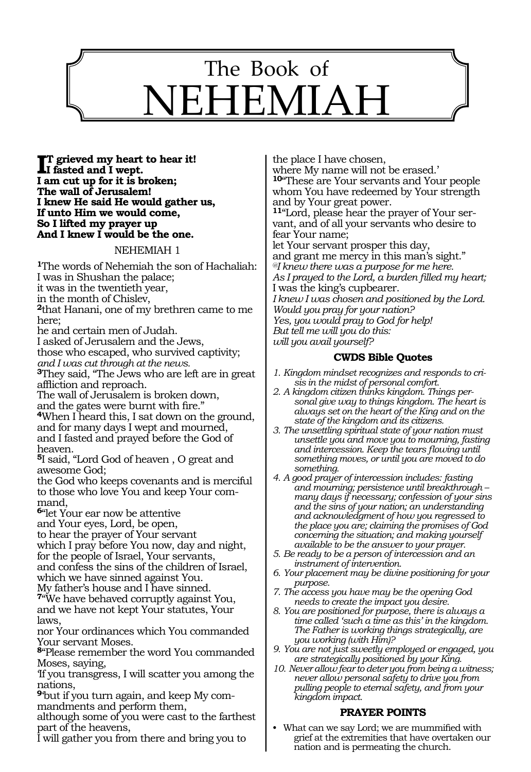

**I**<sup>T</sup> grieved my heart to hear it!<br> **I** fasted and I wept. **I fasted and I wept. I am cut up for it is broken; The wall of Jerusalem! I knew He said He would gather us, If unto Him we would come, So I lifted my prayer up And I knew I would be the one.**

#### NEHEMIAH 1

**<sup>1</sup>**The words of Nehemiah the son of Hachaliah: I was in Shushan the palace; it was in the twentieth year, in the month of Chislev, **<sup>2</sup>**that Hanani, one of my brethren came to me here; he and certain men of Judah. I asked of Jerusalem and the Jews, those who escaped, who survived captivity; *and I was cut through at the news.*  **<sup>3</sup>**They said, "The Jews who are left are in great affliction and reproach. The wall of Jerusalem is broken down, and the gates were burnt with fire." **<sup>4</sup>**When I heard this, I sat down on the ground, and for many days I wept and mourned, and I fasted and prayed before the God of heaven. **<sup>5</sup>**I said, "Lord God of heaven , O great and awesome God; the God who keeps covenants and is merciful to those who love You and keep Your command, **<sup>6</sup>**"let Your ear now be attentive and Your eyes, Lord, be open, to hear the prayer of Your servant which I pray before You now, day and night, for the people of Israel, Your servants, and confess the sins of the children of Israel, which we have sinned against You. My father's house and I have sinned. **<sup>7</sup>**"We have behaved corruptly against You, and we have not kept Your statutes, Your laws, nor Your ordinances which You commanded Your servant Moses. **<sup>8</sup>**"Please remember the word You commanded Moses, saying,

'If you transgress, I will scatter you among the nations,

**9**'but if you turn again, and keep My commandments and perform them,

although some of you were cast to the farthest part of the heavens,

I will gather you from there and bring you to

the place I have chosen, where My name will not be erased.' **<sup>10</sup>**"These are Your servants and Your people whom You have redeemed by Your strength and by Your great power. **11**"Lord, please hear the prayer of Your servant, and of all your servants who desire to fear Your name; let Your servant prosper this day, and grant me mercy in this man's sight." *@I knew there was a purpose for me here. As I prayed to the Lord, a burden filled my heart;*  I was the king's cupbearer. *I knew I was chosen and positioned by the Lord. Would you pray for your nation? Yes, you would pray to God for help! But tell me will you do this: will you avail yourself?*

#### **CWDS Bible Quotes**

- *1. Kingdom mindset recognizes and responds to crisis in the midst of personal comfort.*
- *2. A kingdom citizen thinks kingdom. Things personal give way to things kingdom. The heart is always set on the heart of the King and on the state of the kingdom and its citizens.*
- *3. The unsettling spiritual state of your nation must unsettle you and move you to mourning, fasting and intercession. Keep the tears flowing until something moves, or until you are moved to do something.*
- *4. A good prayer of intercession includes: fasting and mourning; persistence until breakthrough – many days if necessary; confession of your sins and the sins of your nation; an understanding and acknowledgment of how you regressed to the place you are; claiming the promises of God concerning the situation; and making yourself available to be the answer to your prayer.*
- *5. Be ready to be a person of intercession and an instrument of intervention.*
- *6. Your placement may be divine positioning for your purpose.*
- *7. The access you have may be the opening God needs to create the impact you desire.*
- *8. You are positioned for purpose, there is always a time called 'such a time as this' in the kingdom. The Father is working things strategically, are you working (with Him)?*
- *9. You are not just sweetly employed or engaged, you are strategically positioned by your King.*
- *10. Never allow fear to deter you from being a witness; never allow personal safety to drive you from pulling people to eternal safety, and from your kingdom impact.*

# **PRAYER POINTS**

• What can we say Lord; we are mummified with grief at the extremities that have overtaken our nation and is permeating the church.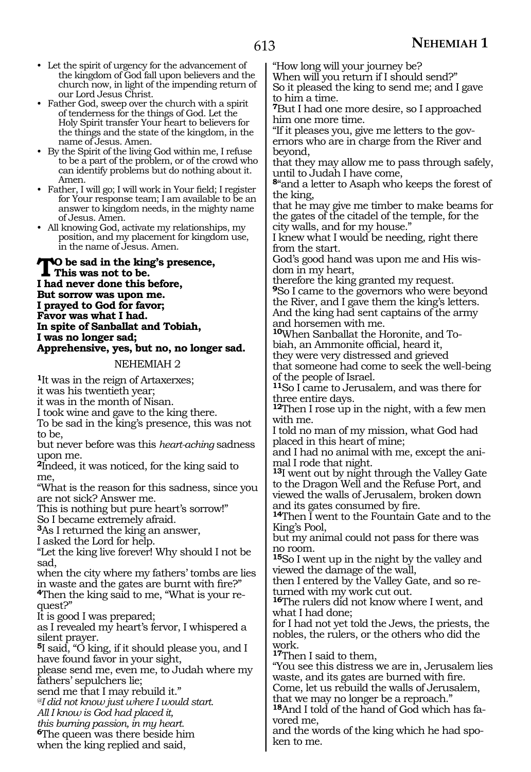- Let the spirit of urgency for the advancement of the kingdom of God fall upon believers and the church now, in light of the impending return of our Lord Jesus Christ.
- Father God, sweep over the church with a spirit of tenderness for the things of God. Let the Holy Spirit transfer Your heart to believers for the things and the state of the kingdom, in the name of Jesus. Amen.
- By the Spirit of the living God within me, I refuse to be a part of the problem, or of the crowd who can identify problems but do nothing about it. Amen.
- Father, I will go; I will work in Your field; I register for Your response team; I am available to be an answer to kingdom needs, in the mighty name of Jesus. Amen.
- All knowing God, activate my relationships, my position, and my placement for kingdom use, in the name of Jesus. Amen.

To be sad in the king's presence,<br>This was not to be.<br>Lead name dans this before. **I had never done this before, But sorrow was upon me. I prayed to God for favor; Favor was what I had. In spite of Sanballat and Tobiah, I was no longer sad; Apprehensive, yes, but no, no longer sad.**

#### NEHEMIAH 2

**<sup>1</sup>**It was in the reign of Artaxerxes;

it was his twentieth year;

it was in the month of Nisan.

I took wine and gave to the king there.

To be sad in the king's presence, this was not to be,

but never before was this *heart-aching* sadness upon me.

**<sup>2</sup>**Indeed, it was noticed, for the king said to me,

"What is the reason for this sadness, since you are not sick? Answer me.

This is nothing but pure heart's sorrow!"

So I became extremely afraid.

**<sup>3</sup>**As I returned the king an answer,

I asked the Lord for help.

"Let the king live forever! Why should I not be sad,

when the city where my fathers' tombs are lies

in waste and the gates are burnt with fire?" **4**Then the king said to me, "What is your request?"

It is good I was prepared;

as I revealed my heart's fervor, I whispered a silent prayer.

**<sup>5</sup>**I said, "O king, if it should please you, and I have found favor in your sight,

please send me, even me, to Judah where my fathers' sepulchers lie;

send me that I may rebuild it."

*@I did not know just where I would start.* 

*All I know is God had placed it,* 

*this burning passion, in my heart.* 

**<sup>6</sup>**The queen was there beside him

when the king replied and said,

"How long will your journey be?

When will you return if I should send?" So it pleased the king to send me; and I gave to him a time.

**<sup>7</sup>**But I had one more desire, so I approached him one more time.

"If it pleases you, give me letters to the governors who are in charge from the River and beyond,

that they may allow me to pass through safely, until to Judah I have come,

**<sup>8</sup>**"and a letter to Asaph who keeps the forest of the king,

that he may give me timber to make beams for the gates of the citadel of the temple, for the city walls, and for my house."

I knew what I would be needing, right there from the start.

God's good hand was upon me and His wisdom in my heart,

therefore the king granted my request. **<sup>9</sup>**So I came to the governors who were beyond the River, and I gave them the king's letters. And the king had sent captains of the army and horsemen with me.

**10**When Sanballat the Horonite, and Tobiah, an Ammonite official, heard it,

they were very distressed and grieved that someone had come to seek the well-being of the people of Israel.

**<sup>11</sup>**So I came to Jerusalem, and was there for three entire days.

**<sup>12</sup>**Then I rose up in the night, with a few men with me.

I told no man of my mission, what God had placed in this heart of mine;

and I had no animal with me, except the animal I rode that night.

**<sup>13</sup>**I went out by night through the Valley Gate to the Dragon Well and the Refuse Port, and viewed the walls of Jerusalem, broken down and its gates consumed by fire.

**<sup>14</sup>**Then I went to the Fountain Gate and to the King's Pool,

but my animal could not pass for there was no room.

**<sup>15</sup>**So I went up in the night by the valley and viewed the damage of the wall,

then I entered by the Valley Gate, and so returned with my work cut out.

**<sup>16</sup>**The rulers did not know where I went, and what I had done;

for I had not yet told the Jews, the priests, the nobles, the rulers, or the others who did the work.

**<sup>17</sup>**Then I said to them,

"You see this distress we are in, Jerusalem lies waste, and its gates are burned with fire.

Come, let us rebuild the walls of Jerusalem, that we may no longer be a reproach."

**<sup>18</sup>**And I told of the hand of God which has fa- vored me,

and the words of the king which he had spoken to me.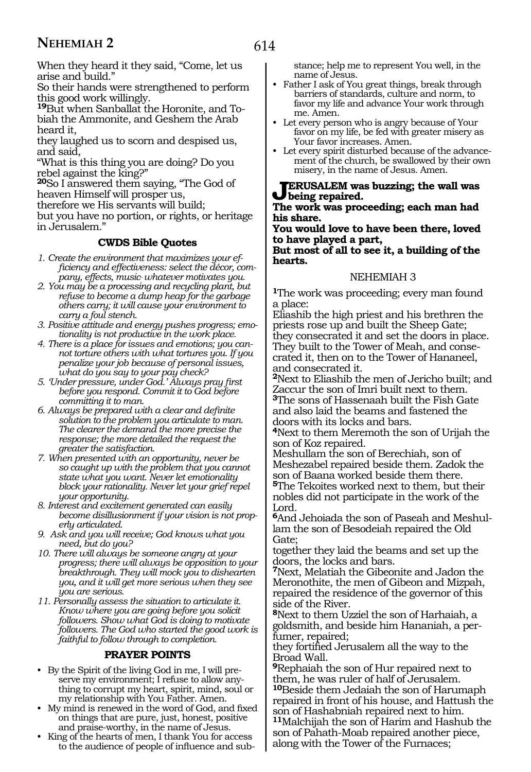When they heard it they said, "Come, let us arise and build."

So their hands were strengthened to perform this good work willingly.

**19**But when Sanballat the Horonite, and Tobiah the Ammonite, and Geshem the Arab heard it,

they laughed us to scorn and despised us, and said,

"What is this thing you are doing? Do you rebel against the king?"

**<sup>20</sup>**So I answered them saying, "The God of heaven Himself will prosper us,

therefore we His servants will build;

but you have no portion, or rights, or heritage in Jerusalem."

#### **CWDS Bible Quotes**

- *1. Create the environment that maximizes your efficiency and effectiveness: select the décor, company, effects, music\_ whatever motivates you.*
- *2. You may be a processing and recycling plant, but refuse to become a dump heap for the garbage others carry; it will cause your environment to carry a foul stench.*
- *3. Positive attitude and energy pushes progress; emotionality is not productive in the work place.*
- *4. There is a place for issues and emotions; you cannot torture others with what tortures you. If you penalize your job because of personal issues, what do you say to your pay check?*
- *5. 'Under pressure, under God.' Always pray first before you respond. Commit it to God before committing it to man.*
- *6. Always be prepared with a clear and definite solution to the problem you articulate to man. The clearer the demand the more precise the response; the more detailed the request the greater the satisfaction.*
- *7. When presented with an opportunity, never be so caught up with the problem that you cannot state what you want. Never let emotionality block your rationality. Never let your grief repel your opportunity.*
- *8. Interest and excitement generated can easily become disillusionment if your vision is not properly articulated.*
- *9. Ask and you will receive; God knows what you need, but do you?*
- *10. There will always be someone angry at your progress; there will always be opposition to your breakthrough. They will mock you to dishearten you, and it will get more serious when they see you are serious.*
- *11. Personally assess the situation to articulate it. Know where you are going before you solicit followers. Show what God is doing to motivate followers. The God who started the good work is faithful to follow through to completion.*

## **PRAYER POINTS**

- By the Spirit of the living God in me, I will preserve my environment; I refuse to allow anything to corrupt my heart, spirit, mind, soul or my relationship with You Father. Amen.
- My mind is renewed in the word of God, and fixed on things that are pure, just, honest, positive and praise-worthy, in the name of Jesus.
- King of the hearts of men, I thank You for access to the audience of people of influence and sub-

stance; help me to represent You well, in the name of Jesus.

- Father I ask of You great things, break through barriers of standards, culture and norm, to favor my life and advance Your work through me. Amen.
- Let every person who is angry because of Your favor on my life, be fed with greater misery as Your favor increases. Amen.
- Let every spirit disturbed because of the advancement of the church, be swallowed by their own misery, in the name of Jesus. Amen.

**ERUSALEM** was buzzing; the wall was **being repaired.**

**The work was proceeding; each man had his share.**

**You would love to have been there, loved to have played a part,**

**But most of all to see it, a building of the hearts.**

#### NEHEMIAH 3

**<sup>1</sup>**The work was proceeding; every man found a place:

Eliashib the high priest and his brethren the priests rose up and built the Sheep Gate; they consecrated it and set the doors in place. They built to the Tower of Meah, and consecrated it, then on to the Tower of Hananeel, and consecrated it.

**<sup>2</sup>**Next to Eliashib the men of Jericho built; and Zaccur the son of Imri built next to them. **<sup>3</sup>**The sons of Hassenaah built the Fish Gate and also laid the beams and fastened the doors with its locks and bars.

**<sup>4</sup>**Next to them Meremoth the son of Urijah the son of Koz repaired.

Meshullam the son of Berechiah, son of Meshezabel repaired beside them. Zadok the son of Baana worked beside them there. **<sup>5</sup>**The Tekoites worked next to them, but their

nobles did not participate in the work of the Lord.

**6**And Jehoiada the son of Paseah and Meshullam the son of Besodeiah repaired the Old Gate;

together they laid the beams and set up the doors, the locks and bars.

**<sup>7</sup>**Next, Melatiah the Gibeonite and Jadon the Meronothite, the men of Gibeon and Mizpah, repaired the residence of the governor of this side of the River.

**<sup>8</sup>**Next to them Uzziel the son of Harhaiah, a goldsmith, and beside him Hananiah, a perfumer, repaired;

they fortified Jerusalem all the way to the Broad Wall.

**<sup>9</sup>**Rephaiah the son of Hur repaired next to them, he was ruler of half of Jerusalem.

**<sup>10</sup>**Beside them Jedaiah the son of Harumaph repaired in front of his house, and Hattush the son of Hashabniah repaired next to him.

**<sup>11</sup>**Malchijah the son of Harim and Hashub the son of Pahath-Moab repaired another piece, along with the Tower of the Furnaces;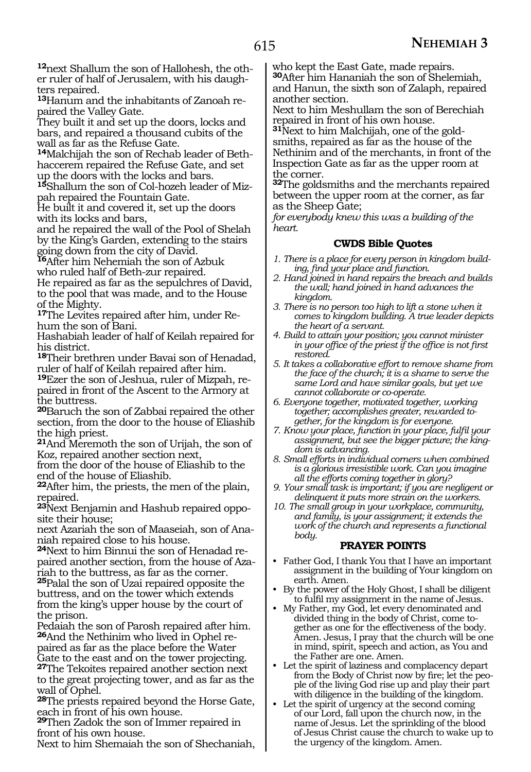**12**next Shallum the son of Hallohesh, the other ruler of half of Jerusalem, with his daughters repaired.

**13**Hanum and the inhabitants of Zanoah repaired the Valley Gate.

They built it and set up the doors, locks and bars, and repaired a thousand cubits of the wall as far as the Refuse Gate.

**14**Malchijah the son of Rechab leader of Bethhaccerem repaired the Refuse Gate, and set up the doors with the locks and bars.

**15**Shallum the son of Col-hozeh leader of Mizpah repaired the Fountain Gate.

He built it and covered it, set up the doors with its locks and bars,

and he repaired the wall of the Pool of Shelah by the King's Garden, extending to the stairs going down from the city of David.

**<sup>16</sup>**After him Nehemiah the son of Azbuk who ruled half of Beth-zur repaired.

He repaired as far as the sepulchres of David, to the pool that was made, and to the House of the Mighty.

**<sup>17</sup>**The Levites repaired after him, under Re- hum the son of Bani.

Hashabiah leader of half of Keilah repaired for his district.

**<sup>18</sup>**Their brethren under Bavai son of Henadad, ruler of half of Keilah repaired after him.

**<sup>19</sup>**Ezer the son of Jeshua, ruler of Mizpah, re- paired in front of the Ascent to the Armory at the buttress.

**<sup>20</sup>**Baruch the son of Zabbai repaired the other section, from the door to the house of Eliashib the high priest.

**<sup>21</sup>**And Meremoth the son of Urijah, the son of Koz, repaired another section next,

from the door of the house of Eliashib to the end of the house of Eliashib.

**<sup>22</sup>**After him, the priests, the men of the plain, repaired.

**23**Next Benjamin and Hashub repaired opposite their house;

next Azariah the son of Maaseiah, son of Ananiah repaired close to his house.

**24**Next to him Binnui the son of Henadad repaired another section, from the house of Azariah to the buttress, as far as the corner.

**<sup>25</sup>**Palal the son of Uzai repaired opposite the buttress, and on the tower which extends from the king's upper house by the court of the prison.

Pedaiah the son of Parosh repaired after him. **26**And the Nethinim who lived in Ophel repaired as far as the place before the Water Gate to the east and on the tower projecting.

**<sup>27</sup>**The Tekoites repaired another section next to the great projecting tower, and as far as the wall of Ophel.

**<sup>28</sup>**The priests repaired beyond the Horse Gate, each in front of his own house.

**<sup>29</sup>**Then Zadok the son of Immer repaired in front of his own house.

Next to him Shemaiah the son of Shechaniah,

who kept the East Gate, made repairs.

**<sup>30</sup>**After him Hananiah the son of Shelemiah, and Hanun, the sixth son of Zalaph, repaired another section.

Next to him Meshullam the son of Berechiah repaired in front of his own house.

**31**Next to him Malchijah, one of the goldsmiths, repaired as far as the house of the Nethinim and of the merchants, in front of the Inspection Gate as far as the upper room at the corner.

**<sup>32</sup>**The goldsmiths and the merchants repaired between the upper room at the corner, as far as the Sheep Gate;

*for everybody knew this was a building of the heart.*

#### **CWDS Bible Quotes**

- *1. There is a place for every person in kingdom building, find your place and function.*
- *2. Hand joined in hand repairs the breach and builds the wall; hand joined in hand advances the kingdom.*
- *3. There is no person too high to lift a stone when it comes to kingdom building. A true leader depicts the heart of a servant.*
- *4. Build to attain your position; you cannot minister in your office of the priest if the office is not first restored.*
- *5. It takes a collaborative effort to remove shame from the face of the church; it is a shame to serve the same Lord and have similar goals, but yet we cannot collaborate or co-operate.*
- *6. Everyone together, motivated together, working together; accomplishes greater, rewarded together, for the kingdom is for everyone.*
- *7. Know your place, function in your place, fulfil your assignment, but see the bigger picture; the kingdom is advancing.*

*8. Small efforts in individual corners when combined is a glorious irresistible work. Can you imagine all the efforts coming together in glory?*

- *9. Your small task is important; if you are negligent or delinquent it puts more strain on the workers.*
- *10. The small group in your workplace, community, and family, is your assignment; it extends the work of the church and represents a functional body.*

## **PRAYER POINTS**

- Father God, I thank You that I have an important assignment in the building of Your kingdom on earth. Amen.
- By the power of the Holy Ghost, I shall be diligent to fulfil my assignment in the name of Jesus.
- My Father, my God, let every denominated and divided thing in the body of Christ, come together as one for the effectiveness of the body. Amen. Jesus, I pray that the church will be one in mind, spirit, speech and action, as You and the Father are one. Amen.
- Let the spirit of laziness and complacency depart from the Body of Christ now by fire; let the people of the living God rise up and play their part with diligence in the building of the kingdom.
- Let the spirit of urgency at the second coming of our Lord, fall upon the church now, in the name of Jesus. Let the sprinkling of the blood of Jesus Christ cause the church to wake up to the urgency of the kingdom. Amen.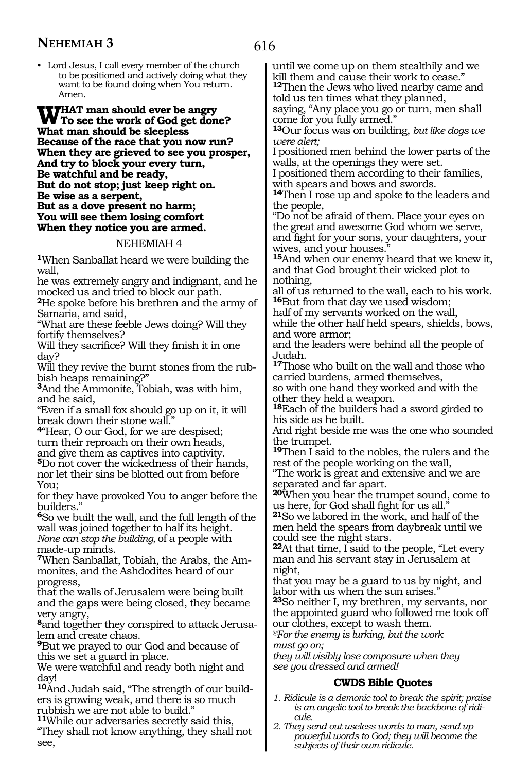• Lord Jesus, I call every member of the church to be positioned and actively doing what they want to be found doing when You return. Amen.

**WHAT man should ever be angry To see the work of God get done? What man should be sleepless Because of the race that you now run? When they are grieved to see you prosper, And try to block your every turn, Be watchful and be ready, But do not stop; just keep right on. Be wise as a serpent, But as a dove present no harm; You will see them losing comfort When they notice you are armed.**

#### NEHEMIAH 4

**<sup>1</sup>**When Sanballat heard we were building the wall,

he was extremely angry and indignant, and he mocked us and tried to block our path.

**<sup>2</sup>**He spoke before his brethren and the army of Samaria, and said,

"What are these feeble Jews doing? Will they fortify themselves?

Will they sacrifice? Will they finish it in one day?

Will they revive the burnt stones from the rub- bish heaps remaining?"

**<sup>3</sup>**And the Ammonite, Tobiah, was with him, and he said,

"Even if a small fox should go up on it, it will break down their stone wall."

**<sup>4</sup>**"Hear, O our God, for we are despised; turn their reproach on their own heads, and give them as captives into captivity.

**<sup>5</sup>**Do not cover the wickedness of their hands, nor let their sins be blotted out from before You;

for they have provoked You to anger before the builders."

**<sup>6</sup>**So we built the wall, and the full length of the wall was joined together to half its height. *None can stop the building,* of a people with made-up minds.

**7**When Sanballat, Tobiah, the Arabs, the Ammonites, and the Ashdodites heard of our progress,

that the walls of Jerusalem were being built and the gaps were being closed, they became very angry,

**8**and together they conspired to attack Jerusalem and create chaos.

**<sup>9</sup>**But we prayed to our God and because of this we set a guard in place.

We were watchful and ready both night and day!

**10**And Judah said, "The strength of our builders is growing weak, and there is so much rubbish we are not able to build."

**<sup>11</sup>**While our adversaries secretly said this, "They shall not know anything, they shall not see,

until we come up on them stealthily and we kill them and cause their work to cease." **<sup>12</sup>**Then the Jews who lived nearby came and

told us ten times what they planned, saying, "Any place you go or turn, men shall come for you fully armed."

**<sup>13</sup>**Our focus was on building, *but like dogs we were alert;* 

I positioned men behind the lower parts of the walls, at the openings they were set.

I positioned them according to their families, with spears and bows and swords.

**<sup>14</sup>**Then I rose up and spoke to the leaders and the people,

"Do not be afraid of them. Place your eyes on the great and awesome God whom we serve, and fight for your sons, your daughters, your wives, and your houses."

**<sup>15</sup>**And when our enemy heard that we knew it, and that God brought their wicked plot to nothing,

all of us returned to the wall, each to his work. **<sup>16</sup>**But from that day we used wisdom;

half of my servants worked on the wall,

while the other half held spears, shields, bows, and wore armor;

and the leaders were behind all the people of Judah.

**<sup>17</sup>**Those who built on the wall and those who carried burdens, armed themselves,

so with one hand they worked and with the other they held a weapon.

**<sup>18</sup>**Each of the builders had a sword girded to his side as he built.

And right beside me was the one who sounded the trumpet.

**<sup>19</sup>**Then I said to the nobles, the rulers and the rest of the people working on the wall,

"The work is great and extensive and we are separated and far apart.

**<sup>20</sup>**When you hear the trumpet sound, come to us here, for God shall fight for us all."

**<sup>21</sup>**So we labored in the work, and half of the men held the spears from daybreak until we could see the night stars.

**<sup>22</sup>**At that time, I said to the people, "Let every man and his servant stay in Jerusalem at night,

that you may be a guard to us by night, and labor with us when the sun arises."

**<sup>23</sup>**So neither I, my brethren, my servants, nor the appointed guard who followed me took off our clothes, except to wash them.

*@For the enemy is lurking, but the work must go on;*

*they will visibly lose composure when they see you dressed and armed!* 

## **CWDS Bible Quotes**

- *1. Ridicule is a demonic tool to break the spirit; praise is an angelic tool to break the backbone of ridicule.*
- *2. They send out useless words to man, send up powerful words to God; they will become the subjects of their own ridicule.*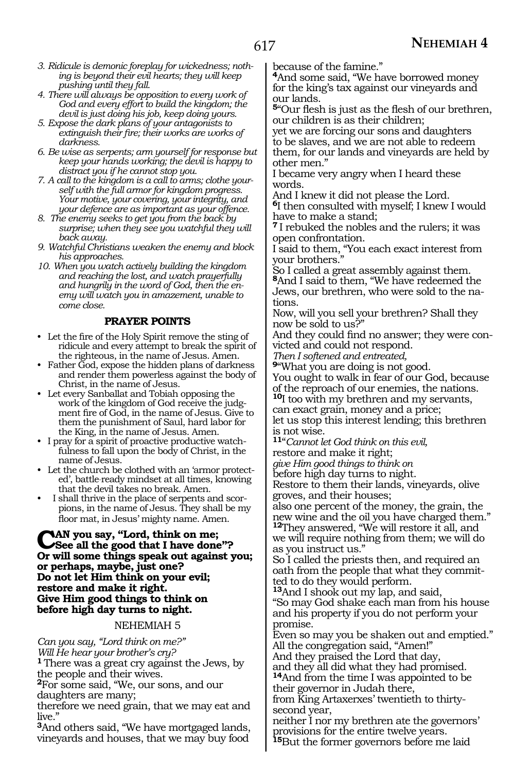- *3. Ridicule is demonic foreplay for wickedness; nothing is beyond their evil hearts; they will keep pushing until they fall.*
- *4. There will always be opposition to every work of God and every effort to build the kingdom; the devil is just doing his job, keep doing yours.*
- *5. Expose the dark plans of your antagonists to extinguish their fire; their works are works of darkness.*
- *6. Be wise as serpents; arm yourself for response but keep your hands working; the devil is happy to distract you if he cannot stop you.*
- *7. A call to the kingdom is a call to arms; clothe yourself with the full armor for kingdom progress. Your motive, your covering, your integrity, and your defence are as important as your offence.*
- *8. The enemy seeks to get you from the back by surprise; when they see you watchful they will back away.*
- *9. Watchful Christians weaken the enemy and block his approaches.*
- *10. When you watch actively building the kingdom and reaching the lost, and watch prayerfully and hungrily in the word of God, then the enemy will watch you in amazement, unable to come close.*

#### **PRAYER POINTS**

- Let the fire of the Holy Spirit remove the sting of ridicule and every attempt to break the spirit of the righteous, in the name of Jesus. Amen.
- Father God, expose the hidden plans of darkness and render them powerless against the body of Christ, in the name of Jesus.
- Let every Sanballat and Tobiah opposing the work of the kingdom of God receive the judgment fire of God, in the name of Jesus. Give to them the punishment of Saul, hard labor for the King, in the name of Jesus. Amen.
- I pray for a spirit of proactive productive watchfulness to fall upon the body of Christ, in the name of Jesus.
- Let the church be clothed with an 'armor protected', battle\_ ready mindset at all times, knowing that the devil takes no break. Amen.
- I shall thrive in the place of serpents and scorpions, in the name of Jesus. They shall be my floor mat, in Jesus' mighty name. Amen.

## **CAN you say, "Lord, think on me;<br>
See all the good that I have done"? Or will some things speak out against you; or perhaps, maybe, just one? Do not let Him think on your evil; restore and make it right. Give Him good things to think on before high day turns to night.**

#### NEHEMIAH 5

*Can you say, "Lord think on me?" Will He hear your brother's cry?*

**<sup>1</sup>**There was a great cry against the Jews, by the people and their wives.

**<sup>2</sup>**For some said, "We, our sons, and our daughters are many;

therefore we need grain, that we may eat and live."

**<sup>3</sup>**And others said, "We have mortgaged lands, vineyards and houses, that we may buy food because of the famine."

**<sup>4</sup>**And some said, "We have borrowed money for the king's tax against our vineyards and our lands.

**<sup>5</sup>**"Our flesh is just as the flesh of our brethren, our children is as their children;

yet we are forcing our sons and daughters to be slaves, and we are not able to redeem them, for our lands and vineyards are held by other men."

I became very angry when I heard these words.

And I knew it did not please the Lord.

**<sup>6</sup>**I then consulted with myself; I knew I would have to make a stand;

**<sup>7</sup>**I rebuked the nobles and the rulers; it was open confrontation.

I said to them, "You each exact interest from your brothers."

So I called a great assembly against them. **<sup>8</sup>**And I said to them, "We have redeemed the Jews, our brethren, who were sold to the nations.

Now, will you sell your brethren? Shall they now be sold to us?"

And they could find no answer; they were convicted and could not respond.

*Then I softened and entreated,*

**<sup>9</sup>**"What you are doing is not good.

You ought to walk in fear of our God, because of the reproach of our enemies, the nations. **<sup>10</sup>**I too with my brethren and my servants,

can exact grain, money and a price;

let us stop this interest lending; this brethren is not wise.

**<sup>11</sup>**"*Cannot let God think on this evil,*

restore and make it right;

*give Him good things to think on*

before high day turns to night.

Restore to them their lands, vineyards, olive groves, and their houses;

also one percent of the money, the grain, the new wine and the oil you have charged them." **<sup>12</sup>**They answered, "We will restore it all, and we will require nothing from them; we will do as you instruct us."

So I called the priests then, and required an oath from the people that what they committed to do they would perform.

**<sup>13</sup>**And I shook out my lap, and said,

"So may God shake each man from his house and his property if you do not perform your promise.

Even so may you be shaken out and emptied." All the congregation said, "Amen!"

And they praised the Lord that day,

and they all did what they had promised. **<sup>14</sup>**And from the time I was appointed to be their governor in Judah there,

from King Artaxerxes' twentieth to thirtysecond year,

neither I nor my brethren ate the governors' provisions for the entire twelve years. **<sup>15</sup>**But the former governors before me laid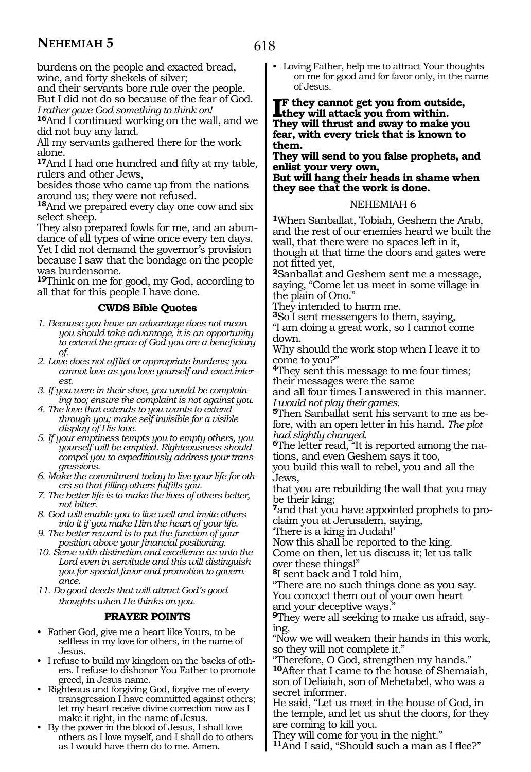618

burdens on the people and exacted bread, wine, and forty shekels of silver;

and their servants bore rule over the people. But I did not do so because of the fear of God. *I rather gave God something to think on!*

**<sup>16</sup>**And I continued working on the wall, and we did not buy any land.

All my servants gathered there for the work alone.

**<sup>17</sup>**And I had one hundred and fifty at my table, rulers and other Jews,

besides those who came up from the nations around us; they were not refused.

**<sup>18</sup>**And we prepared every day one cow and six select sheep.

They also prepared fowls for me, and an abundance of all types of wine once every ten days. Yet I did not demand the governor's provision because I saw that the bondage on the people was burdensome.

**<sup>19</sup>**Think on me for good, my God, according to all that for this people I have done.

#### **CWDS Bible Quotes**

- *1. Because you have an advantage does not mean you should take advantage, it is an opportunity to extend the grace of God you are a beneficiary of.*
- *2. Love does not afflict or appropriate burdens; you cannot love as you love yourself and exact interest.*
- *3. If you were in their shoe, you would be complaining too; ensure the complaint is not against you.*
- *4. The love that extends to you wants to extend through you; make self invisible for a visible display of His love.*
- *5. If your emptiness tempts you to empty others, you yourself will be emptied. Righteousness should compel you to expeditiously address your transgressions.*
- *6. Make the commitment today to live your life for others so that filling others fulfills you.*
- *7. The better life is to make the lives of others better, not bitter.*
- *8. God will enable you to live well and invite others into it if you make Him the heart of your life.*
- *9. The better reward is to put the function of your position above your financial positioning.*
- *10. Serve with distinction and excellence as unto the Lord even in servitude and this will distinguish you for special favor and promotion to governance.*
- *11. Do good deeds that will attract God's good thoughts when He thinks on you.*

## **PRAYER POINTS**

- Father God, give me a heart like Yours, to be selfless in my love for others, in the name of Jesus.
- I refuse to build my kingdom on the backs of others. I refuse to dishonor You Father to promote greed, in Jesus name.
- Righteous and forgiving God, forgive me of every transgression I have committed against others; let my heart receive divine correction now as I make it right, in the name of Jesus.
- By the power in the blood of Jesus, I shall love others as I love myself, and I shall do to others as I would have them do to me. Amen.

• Loving Father, help me to attract Your thoughts on me for good and for favor only, in the name of Jesus.

**IF** they cannot get you from outside<br>they will attack you from within. **f they cannot get you from outside, They will thrust and sway to make you fear, with every trick that is known to them.**

**They will send to you false prophets, and enlist your very own, But will hang their heads in shame when they see that the work is done.**

#### NEHEMIAH 6

**<sup>1</sup>**When Sanballat, Tobiah, Geshem the Arab, and the rest of our enemies heard we built the wall, that there were no spaces left in it, though at that time the doors and gates were

not fitted yet, **<sup>2</sup>**Sanballat and Geshem sent me a message, saying, "Come let us meet in some village in the plain of Ono."

They intended to harm me.

**<sup>3</sup>**So I sent messengers to them, saying,

"I am doing a great work, so I cannot come down.

Why should the work stop when I leave it to come to you?"

**<sup>4</sup>**They sent this message to me four times; their messages were the same

and all four times I answered in this manner. *I would not play their games.*

**5**Then Sanballat sent his servant to me as before, with an open letter in his hand. *The plot had slightly changed.*

**6**The letter read, "It is reported among the nations, and even Geshem says it too,

you build this wall to rebel, you and all the Jews,

that you are rebuilding the wall that you may be their king;

**<sup>7</sup>**and that you have appointed prophets to pro- claim you at Jerusalem, saying,

'There is a king in Judah!'

Now this shall be reported to the king.

Come on then, let us discuss it; let us talk over these things!"

**<sup>8</sup>**I sent back and I told him,

"There are no such things done as you say. You concoct them out of your own heart and your deceptive ways."

**9**They were all seeking to make us afraid, saying,

"Now we will weaken their hands in this work, so they will not complete it."

"Therefore, O God, strengthen my hands." **<sup>10</sup>**After that I came to the house of Shemaiah, son of Deliaiah, son of Mehetabel, who was a secret informer.

He said, "Let us meet in the house of God, in the temple, and let us shut the doors, for they are coming to kill you.

They will come for you in the night."

**<sup>11</sup>**And I said, "Should such a man as I flee?"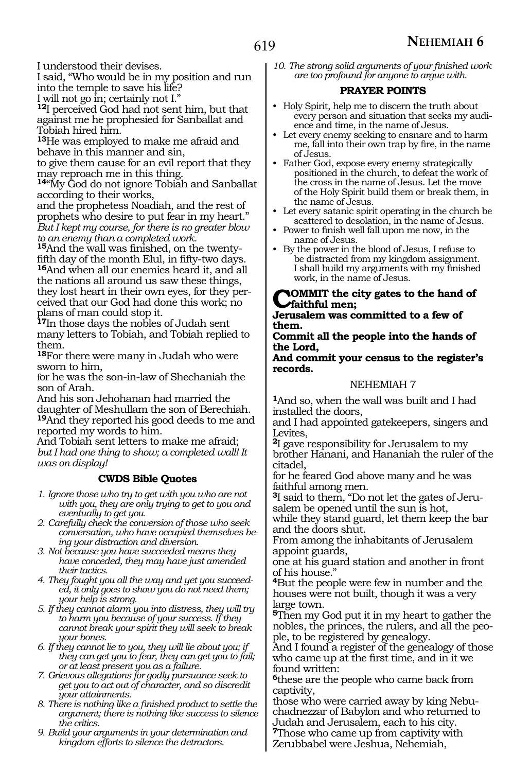I understood their devises.

I said, "Who would be in my position and run into the temple to save his life?

I will not go in; certainly not I."

**<sup>12</sup>**I perceived God had not sent him, but that against me he prophesied for Sanballat and Tobiah hired him.

**<sup>13</sup>**He was employed to make me afraid and behave in this manner and sin,

to give them cause for an evil report that they may reproach me in this thing.

**<sup>14</sup>**"My God do not ignore Tobiah and Sanballat according to their works,

and the prophetess Noadiah, and the rest of prophets who desire to put fear in my heart." *But I kept my course, for there is no greater blow to an enemy than a completed work.*

**15**And the wall was finished, on the twenty-<br>fifth day of the month Elul, in fifty-two days. <sup>16</sup>And when all our enemies heard it, and all the nations all around us saw these things, they lost heart in their own eyes, for they perceived that our God had done this work; no plans of man could stop it.

**<sup>17</sup>**In those days the nobles of Judah sent many letters to Tobiah, and Tobiah replied to them.

**<sup>18</sup>**For there were many in Judah who were sworn to him,

for he was the son-in-law of Shechaniah the son of Arah.

And his son Jehohanan had married the daughter of Meshullam the son of Berechiah. **<sup>19</sup>**And they reported his good deeds to me and reported my words to him.

And Tobiah sent letters to make me afraid; *but I had one thing to show; a completed wall! It was on display!*

## **CWDS Bible Quotes**

- *1. Ignore those who try to get with you who are not with you, they are only trying to get to you and eventually to get you.*
- *2. Carefully check the conversion of those who seek conversation, who have occupied themselves being your distraction and diversion.*
- *3. Not because you have succeeded means they have conceded, they may have just amended their tactics.*
- *4. They fought you all the way and yet you succeeded, it only goes to show you do not need them; your help is strong.*
- *5. If they cannot alarm you into distress, they will try to harm you because of your success. If they cannot break your spirit they will seek to break your bones.*

*6. If they cannot lie to you, they will lie about you; if they can get you to fear, they can get you to fail; or at least present you as a failure.*

- *7. Grievous allegations for godly pursuance seek to get you to act out of character, and so discredit your attainments.*
- *8. There is nothing like a finished product to settle the argument; there is nothing like success to silence the critics.*
- *9. Build your arguments in your determination and kingdom efforts to silence the detractors.*

*10. The strong solid arguments of your finished work are too profound for anyone to argue with.*

#### **PRAYER POINTS**

- Holy Spirit, help me to discern the truth about every person and situation that seeks my audience and time, in the name of Jesus.
- Let every enemy seeking to ensnare and to harm me, fall into their own trap by fire, in the name of Jesus.
- Father God, expose every enemy strategically positioned in the church, to defeat the work of the cross in the name of Jesus. Let the move of the Holy Spirit build them or break them, in the name of Jesus.
- Let every satanic spirit operating in the church be scattered to desolation, in the name of Jesus.
- Power to finish well fall upon me now, in the name of Jesus.
- By the power in the blood of Jesus, I refuse to be distracted from my kingdom assignment. I shall build my arguments with my finished work, in the name of Jesus.

## **COMMIT** the city gates to the hand of **faithful men;**

**Jerusalem was committed to a few of them.**

#### **Commit all the people into the hands of the Lord,**

#### **And commit your census to the register's records.**

#### NEHEMIAH 7

**<sup>1</sup>**And so, when the wall was built and I had installed the doors,

and I had appointed gatekeepers, singers and Levites,

**<sup>2</sup>**I gave responsibility for Jerusalem to my brother Hanani, and Hananiah the ruler of the citadel,

for he feared God above many and he was faithful among men.

**3**I said to them, "Do not let the gates of Jerusalem be opened until the sun is hot,

while they stand guard, let them keep the bar and the doors shut.

From among the inhabitants of Jerusalem appoint guards,

one at his guard station and another in front of his house."

**<sup>4</sup>**But the people were few in number and the houses were not built, though it was a very large town.

**<sup>5</sup>**Then my God put it in my heart to gather the nobles, the princes, the rulers, and all the people, to be registered by genealogy.

And I found a register of the genealogy of those who came up at the first time, and in it we found written:

**<sup>6</sup>**these are the people who came back from captivity,

those who were carried away by king Nebuchadnezzar of Babylon and who returned to

Judah and Jerusalem, each to his city. **<sup>7</sup>**Those who came up from captivity with

Zerubbabel were Jeshua, Nehemiah,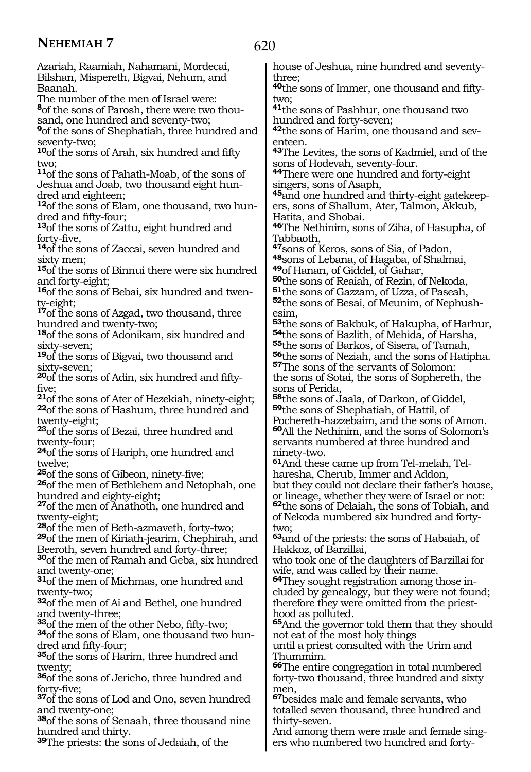620

Azariah, Raamiah, Nahamani, Mordecai, Bilshan, Mispereth, Bigvai, Nehum, and Baanah.

The number of the men of Israel were:

**8**of the sons of Parosh, there were two thousand, one hundred and seventy-two;

**<sup>9</sup>**of the sons of Shephatiah, three hundred and seventy-two;

**<sup>10</sup>**of the sons of Arah, six hundred and fifty two;

**<sup>11</sup>**of the sons of Pahath-Moab, of the sons of Jeshua and Joab, two thousand eight hundred and eighteen;

<sup>12</sup>of the sons of Elam, one thousand, two hun-<br>dred and fifty-four;

<sup>13</sup>of the sons of Zattu, eight hundred and

forty-five, **14**of the sons of Zaccai, seven hundred and sixty men;

**<sup>15</sup>**of the sons of Binnui there were six hundred and forty-eight;

**16**of the sons of Bebai, six hundred and twenty-eight;

**<sup>17</sup>**of the sons of Azgad, two thousand, three hundred and twenty-two;

**<sup>18</sup>**of the sons of Adonikam, six hundred and sixty-seven;

**<sup>19</sup>**of the sons of Bigvai, two thousand and sixty-seven;

**20**of the sons of Adin, six hundred and fiftyfive;

**<sup>21</sup>**of the sons of Ater of Hezekiah, ninety-eight; **<sup>22</sup>**of the sons of Hashum, three hundred and twenty-eight;

**<sup>23</sup>**of the sons of Bezai, three hundred and twenty-four;

**<sup>24</sup>**of the sons of Hariph, one hundred and twelve;

**<sup>25</sup>**of the sons of Gibeon, ninety-five;

**<sup>26</sup>**of the men of Bethlehem and Netophah, one hundred and eighty-eight;

**<sup>27</sup>**of the men of Anathoth, one hundred and

twenty-eight;<br><sup>28</sup>of the men of Beth-azmaveth, forty-two;

**<sup>29</sup>**of the men of Kiriath-jearim, Chephirah, and Beeroth, seven hundred and forty-three;

**<sup>30</sup>**of the men of Ramah and Geba, six hundred and twenty-one;

**<sup>31</sup>**of the men of Michmas, one hundred and twenty-two;

**<sup>32</sup>**of the men of Ai and Bethel, one hundred and twenty-three;

**<sup>33</sup>**of the men of the other Nebo, fifty-two; **34**of the sons of Elam, one thousand two hun-

35<sub>of the sons of Harim, three hundred and</sub> twenty;

**<sup>36</sup>**of the sons of Jericho, three hundred and forty-five;

**<sup>37</sup>**of the sons of Lod and Ono, seven hundred and twenty-one;

**<sup>38</sup>**of the sons of Senaah, three thousand nine hundred and thirty.

**<sup>39</sup>**The priests: the sons of Jedaiah, of the

house of Jeshua, nine hundred and seventythree;

**40**the sons of Immer, one thousand and fiftytwo;

**<sup>41</sup>**the sons of Pashhur, one thousand two hundred and forty-seven;

**42**the sons of Harim, one thousand and seventeen.

**<sup>43</sup>**The Levites, the sons of Kadmiel, and of the sons of Hodevah, seventy-four.

**<sup>44</sup>**There were one hundred and forty-eight singers, sons of Asaph,

**45**and one hundred and thirty-eight gatekeepers, sons of Shallum, Ater, Talmon, Akkub, Hatita, and Shobai.

**<sup>46</sup>**The Nethinim, sons of Ziha, of Hasupha, of Tabbaoth,

**<sup>47</sup>**sons of Keros, sons of Sia, of Padon,

**<sup>48</sup>**sons of Lebana, of Hagaba, of Shalmai, **49**of Hanan, of Giddel, of Gahar,

**<sup>50</sup>**the sons of Reaiah, of Rezin, of Nekoda,

**<sup>51</sup>**the sons of Gazzam, of Uzza, of Paseah,

**52**the sons of Besai, of Meunim, of Nephushesim,

the sons of Bakbuk, of Hakupha, of Harhur, **54**the sons of Bazlith, of Mehida, of Harsha, the sons of Barkos, of Sisera, of Tamah, the sons of Neziah, and the sons of Hatipha. **<sup>57</sup>**The sons of the servants of Solomon: the sons of Sotai, the sons of Sophereth, the

sons of Perida,

**<sup>58</sup>**the sons of Jaala, of Darkon, of Giddel, **<sup>59</sup>**the sons of Shephatiah, of Hattil, of Pochereth-hazzebaim, and the sons of Amon. **<sup>60</sup>**All the Nethinim, and the sons of Solomon's servants numbered at three hundred and

ninety-two.

**61**And these came up from Tel-melah, Telharesha, Cherub, Immer and Addon, but they could not declare their father's house, or lineage, whether they were of Israel or not:

**<sup>62</sup>**the sons of Delaiah, the sons of Tobiah, and of Nekoda numbered six hundred and fortytwo;

**<sup>63</sup>**and of the priests: the sons of Habaiah, of Hakkoz, of Barzillai,

who took one of the daughters of Barzillai for wife, and was called by their name.

**64**They sought registration among those included by genealogy, but they were not found; therefore they were omitted from the priesthood as polluted.

**<sup>65</sup>**And the governor told them that they should not eat of the most holy things

until a priest consulted with the Urim and Thummim.

**<sup>66</sup>**The entire congregation in total numbered forty-two thousand, three hundred and sixty men,

**<sup>67</sup>**besides male and female servants, who totalled seven thousand, three hundred and thirty-seven.

And among them were male and female singers who numbered two hundred and forty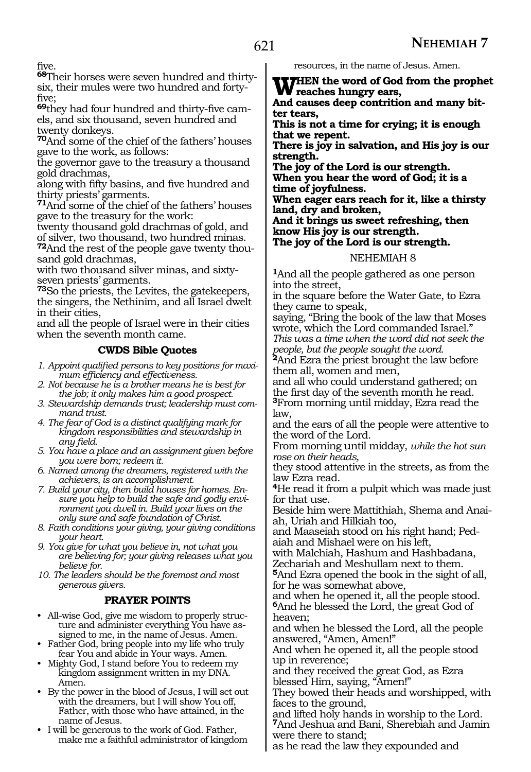five.

**68**Their horses were seven hundred and thirtysix, their mules were two hundred and fortyfive;

**69**they had four hundred and thirty-five camels, and six thousand, seven hundred and twenty donkeys.

**<sup>70</sup>**And some of the chief of the fathers' houses gave to the work, as follows:

the governor gave to the treasury a thousand gold drachmas,

along with fifty basins, and five hundred and thirty priests' garments.

**<sup>71</sup>**And some of the chief of the fathers' houses gave to the treasury for the work:

twenty thousand gold drachmas of gold, and of silver, two thousand, two hundred minas.

**72**And the rest of the people gave twenty thousand gold drachmas,

with two thousand silver minas, and sixtyseven priests' garments.

**<sup>73</sup>**So the priests, the Levites, the gatekeepers, the singers, the Nethinim, and all Israel dwelt in their cities,

and all the people of Israel were in their cities when the seventh month came.

## **CWDS Bible Quotes**

*1. Appoint qualified persons to key positions for maximum efficiency and effectiveness.*

*2. Not because he is a brother means he is best for the job; it only makes him a good prospect.*

*3. Stewardship demands trust; leadership must command trust.*

*4. The fear of God is a distinct qualifying mark for kingdom responsibilities and stewardship in any field.*

*5. You have a place and an assignment given before you were born; redeem it.*

*6. Named among the dreamers, registered with the achievers, is an accomplishment.*

*7. Build your city, then build houses for homes. Ensure you help to build the safe and godly environment you dwell in. Build your lives on the only sure and safe foundation of Christ.*

*8. Faith conditions your giving, your giving conditions your heart.*

*9. You give for what you believe in, not what you are believing for; your giving releases what you believe for.*

*10. The leaders should be the foremost and most generous givers.*

## **PRAYER POINTS**

• All-wise God, give me wisdom to properly structure and administer everything You have assigned to me, in the name of Jesus. Amen.

• Father God, bring people into my life who truly fear You and abide in Your ways. Amen.

• Mighty God, I stand before You to redeem my kingdom assignment written in my DNA. Amen.

• By the power in the blood of Jesus, I will set out with the dreamers, but I will show You off, Father, with those who have attained, in the name of Jesus.

• I will be generous to the work of God. Father, make me a faithful administrator of kingdom resources, in the name of Jesus. Amen.

**WHEN the word of God from the prophet reaches hungry ears,**

**And causes deep contrition and many bitter tears,**

**This is not a time for crying; it is enough that we repent.**

**There is joy in salvation, and His joy is our strength.**

**The joy of the Lord is our strength. When you hear the word of God; it is a time of joyfulness.**

**When eager ears reach for it, like a thirsty land, dry and broken,**

**And it brings us sweet refreshing, then know His joy is our strength.**

**The joy of the Lord is our strength.**

#### NEHEMIAH 8

**<sup>1</sup>**And all the people gathered as one person into the street,

in the square before the Water Gate, to Ezra they came to speak,

saying, "Bring the book of the law that Moses wrote, which the Lord commanded Israel." *This was a time when the word did not seek the* 

*people, but the people sought the word.* **<sup>2</sup>**And Ezra the priest brought the law before them all, women and men,

and all who could understand gathered; on **3From morning until midday, Ezra read the** law,

and the ears of all the people were attentive to the word of the Lord.

From morning until midday, *while the hot sun rose on their heads,*

they stood attentive in the streets, as from the law Ezra read.

**<sup>4</sup>**He read it from a pulpit which was made just for that use.

Beside him were Mattithiah, Shema and Anaiah, Uriah and Hilkiah too,

and Maaseiah stood on his right hand; Pedaiah and Mishael were on his left,

with Malchiah, Hashum and Hashbadana, Zechariah and Meshullam next to them.

**<sup>5</sup>**And Ezra opened the book in the sight of all, for he was somewhat above,

and when he opened it, all the people stood. **<sup>6</sup>**And he blessed the Lord, the great God of heaven;

and when he blessed the Lord, all the people answered, "Amen, Amen!"

And when he opened it, all the people stood up in reverence;

and they received the great God, as Ezra blessed Him, saying, "Amen!"

They bowed their heads and worshipped, with faces to the ground,

and lifted holy hands in worship to the Lord. **<sup>7</sup>**And Jeshua and Bani, Sherebiah and Jamin were there to stand;

as he read the law they expounded and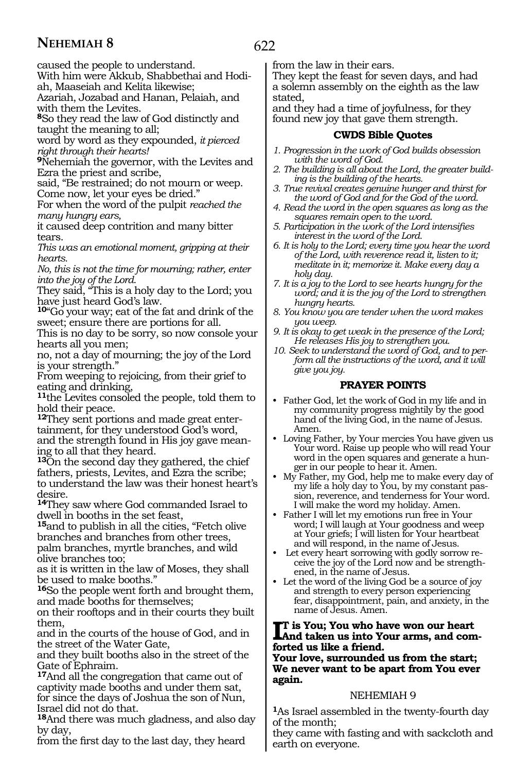caused the people to understand.

With him were Akkub, Shabbethai and Hodiah, Maaseiah and Kelita likewise;

Azariah, Jozabad and Hanan, Pelaiah, and with them the Levites.

**<sup>8</sup>**So they read the law of God distinctly and taught the meaning to all;

word by word as they expounded, *it pierced right through their hearts!*

**<sup>9</sup>**Nehemiah the governor, with the Levites and Ezra the priest and scribe,

said, "Be restrained; do not mourn or weep. Come now, let your eyes be dried."

For when the word of the pulpit *reached the many hungry ears,*

it caused deep contrition and many bitter tears.

*This was an emotional moment, gripping at their hearts.*

*No, this is not the time for mourning; rather, enter into the joy of the Lord.*

They said, "This is a holy day to the Lord; you have just heard God's law.

**<sup>10</sup>**"Go your way; eat of the fat and drink of the sweet; ensure there are portions for all.

This is no day to be sorry, so now console your hearts all you men;

no, not a day of mourning; the joy of the Lord is your strength."

From weeping to rejoicing, from their grief to eating and drinking,

**<sup>11</sup>**the Levites consoled the people, told them to hold their peace.

**<sup>12</sup>**They sent portions and made great enter- tainment, for they understood God's word, and the strength found in His joy gave mean- ing to all that they heard.

**<sup>13</sup>**On the second day they gathered, the chief fathers, priests, Levites, and Ezra the scribe; to understand the law was their honest heart's desire.

**<sup>14</sup>**They saw where God commanded Israel to dwell in booths in the set feast,

**<sup>15</sup>**and to publish in all the cities, "Fetch olive branches and branches from other trees, palm branches, myrtle branches, and wild olive branches too;

as it is written in the law of Moses, they shall be used to make booths."

**<sup>16</sup>**So the people went forth and brought them, and made booths for themselves;

on their rooftops and in their courts they built them,

and in the courts of the house of God, and in the street of the Water Gate,

and they built booths also in the street of the Gate of Ephraim.

**<sup>17</sup>**And all the congregation that came out of captivity made booths and under them sat, for since the days of Joshua the son of Nun, Israel did not do that.

**<sup>18</sup>**And there was much gladness, and also day by day,

from the first day to the last day, they heard

from the law in their ears.

They kept the feast for seven days, and had a solemn assembly on the eighth as the law stated,

and they had a time of joyfulness, for they found new joy that gave them strength.

#### **CWDS Bible Quotes**

- *1. Progression in the work of God builds obsession with the word of God.*
- *2. The building is all about the Lord, the greater building is the building of the hearts.*
- *3. True revival creates genuine hunger and thirst for the word of God and for the God of the word.*
- *4. Read the word in the open squares as long as the squares remain open to the word.*
- *5. Participation in the work of the Lord intensifies interest in the word of the Lord.*
- *6. It is holy to the Lord; every time you hear the word of the Lord, with reverence read it, listen to it; meditate in it; memorize it. Make every day a holy day.*
- *7. It is a joy to the Lord to see hearts hungry for the word; and it is the joy of the Lord to strengthen hungry hearts.*
- *8. You know you are tender when the word makes you weep.*
- *9. It is okay to get weak in the presence of the Lord; He releases His joy to strengthen you.*

*10. Seek to understand the word of God, and to perform all the instructions of the word, and it will give you joy.*

## **PRAYER POINTS**

- Father God, let the work of God in my life and in my community progress mightily by the good hand of the living God, in the name of Jesus. Amen.
- Loving Father, by Your mercies You have given us Your word. Raise up people who will read Your word in the open squares and generate a hunger in our people to hear it. Amen.
- My Father, my God, help me to make every day of my life a holy day to You, by my constant passion, reverence, and tenderness for Your word. I will make the word my holiday. Amen.
- Father I will let my emotions run free in Your word; I will laugh at Your goodness and weep at Your griefs; I will listen for Your heartbeat and will respond, in the name of Jesus.
- Let every heart sorrowing with godly sorrow receive the joy of the Lord now and be strengthened, in the name of Jesus.
- Let the word of the living God be a source of joy and strength to every person experiencing fear, disappointment, pain, and anxiety, in the name of Jesus. Amen.

#### **I**T is You; You who have won our heart<br>And taken us into Your arms, and com**t is You; You who have won our heart forted us like a friend.**

**Your love, surrounded us from the start; We never want to be apart from You ever again.**

#### NEHEMIAH 9

**<sup>1</sup>**As Israel assembled in the twenty-fourth day of the month;

they came with fasting and with sackcloth and earth on everyone.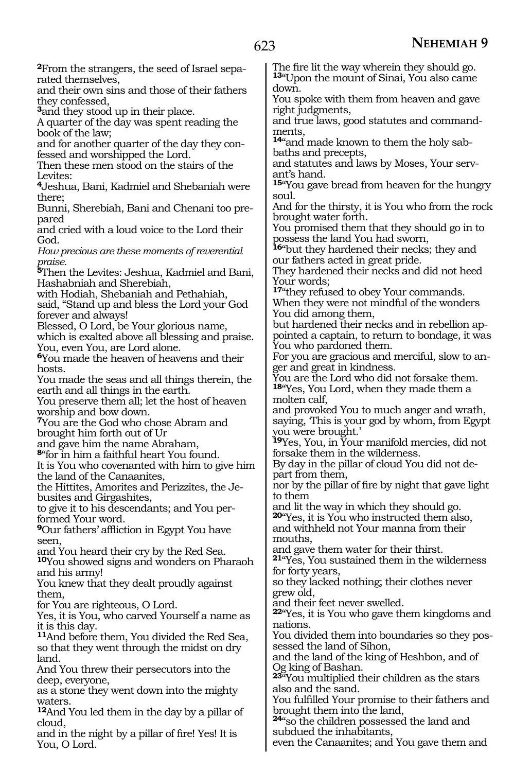**2**From the strangers, the seed of Israel separated themselves,

and their own sins and those of their fathers they confessed,

**<sup>3</sup>**and they stood up in their place.

A quarter of the day was spent reading the book of the law;

and for another quarter of the day they confessed and worshipped the Lord.

Then these men stood on the stairs of the Levites:

**<sup>4</sup>**Jeshua, Bani, Kadmiel and Shebaniah were there;

Bunni, Sherebiah, Bani and Chenani too prepared

and cried with a loud voice to the Lord their God.

*How precious are these moments of reverential praise.*

**<sup>5</sup>**Then the Levites: Jeshua, Kadmiel and Bani, Hashabniah and Sherebiah,

with Hodiah, Shebaniah and Pethahiah,

said, "Stand up and bless the Lord your God forever and always!

Blessed, O Lord, be Your glorious name,

which is exalted above all blessing and praise. You, even You, are Lord alone.

**<sup>6</sup>**You made the heaven of heavens and their hosts.

You made the seas and all things therein, the earth and all things in the earth.

You preserve them all; let the host of heaven worship and bow down.

**<sup>7</sup>**You are the God who chose Abram and brought him forth out of Ur

and gave him the name Abraham,

**<sup>8</sup>**"for in him a faithful heart You found.

It is You who covenanted with him to give him the land of the Canaanites,

the Hittites, Amorites and Perizzites, the Je- busites and Girgashites,

to give it to his descendants; and You per- formed Your word.

**<sup>9</sup>**Our fathers' affliction in Egypt You have seen,

and You heard their cry by the Red Sea.

**<sup>10</sup>**You showed signs and wonders on Pharaoh and his army!

You knew that they dealt proudly against them,

for You are righteous, O Lord.

Yes, it is You, who carved Yourself a name as it is this day.

**<sup>11</sup>**And before them, You divided the Red Sea, so that they went through the midst on dry land.

And You threw their persecutors into the deep, everyone,

as a stone they went down into the mighty waters.

**<sup>12</sup>**And You led them in the day by a pillar of cloud,

and in the night by a pillar of fire! Yes! It is You, O Lord.

The fire lit the way wherein they should go. **<sup>13</sup>**"Upon the mount of Sinai, You also came down.

You spoke with them from heaven and gave right judgments,

and true laws, good statutes and commandments,

**14**"and made known to them the holy sabbaths and precepts,

and statutes and laws by Moses, Your servant's hand.

**<sup>15</sup>**"You gave bread from heaven for the hungry soul.

And for the thirsty, it is You who from the rock brought water forth.

You promised them that they should go in to possess the land You had sworn,

**<sup>16</sup>**"but they hardened their necks; they and our fathers acted in great pride.

They hardened their necks and did not heed Your words;

**<sup>17</sup>**"they refused to obey Your commands.

When they were not mindful of the wonders You did among them,

but hardened their necks and in rebellion appointed a captain, to return to bondage, it was You who pardoned them.

For you are gracious and merciful, slow to anger and great in kindness.

You are the Lord who did not forsake them. **<sup>18</sup>**"Yes, You Lord, when they made them a molten calf,

and provoked You to much anger and wrath, saying, 'This is your god by whom, from Egypt you were brought.'

**<sup>19</sup>**Yes, You, in Your manifold mercies, did not forsake them in the wilderness.

By day in the pillar of cloud You did not depart from them,

nor by the pillar of fire by night that gave light to them

and lit the way in which they should go.

**<sup>20</sup>**"Yes, it is You who instructed them also, and withheld not Your manna from their mouths,

and gave them water for their thirst.

**<sup>21</sup>**"Yes, You sustained them in the wilderness for forty years,

so they lacked nothing; their clothes never grew old,

and their feet never swelled.

**<sup>22</sup>**"Yes, it is You who gave them kingdoms and nations.

You divided them into boundaries so they possessed the land of Sihon,

and the land of the king of Heshbon, and of Og king of Bashan.

**<sup>23</sup>**"You multiplied their children as the stars also and the sand.

You fulfilled Your promise to their fathers and brought them into the land,

**<sup>24</sup>**"so the children possessed the land and subdued the inhabitants,

even the Canaanites; and You gave them and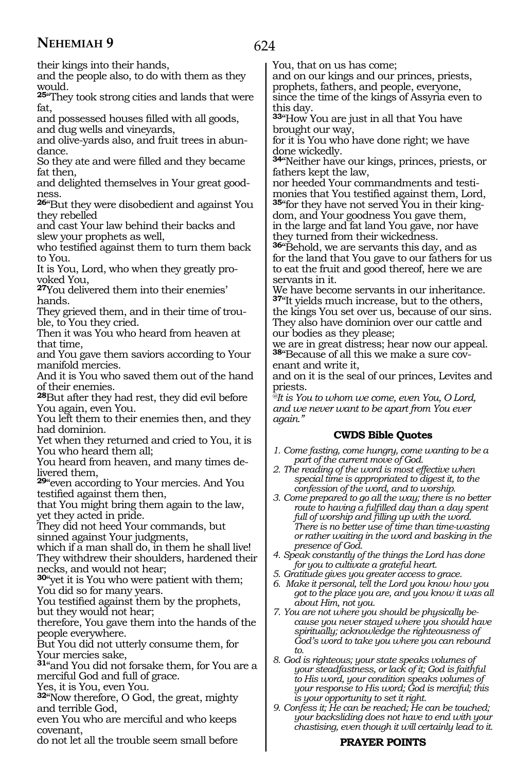624

their kings into their hands,

and the people also, to do with them as they would.

**<sup>25</sup>**"They took strong cities and lands that were fat,

and possessed houses filled with all goods, and dug wells and vineyards,

and olive-yards also, and fruit trees in abundance.

So they ate and were filled and they became fat then,

and delighted themselves in Your great goodness.

**<sup>26</sup>**"But they were disobedient and against You they rebelled

and cast Your law behind their backs and slew your prophets as well,

who testified against them to turn them back to You.

It is You, Lord, who when they greatly provoked You,

**<sup>27</sup>**You delivered them into their enemies' hands.

They grieved them, and in their time of trouble, to You they cried.

Then it was You who heard from heaven at that time,

and You gave them saviors according to Your manifold mercies.

And it is You who saved them out of the hand of their enemies.

**<sup>28</sup>**But after they had rest, they did evil before You again, even You.

You left them to their enemies then, and they had dominion.

Yet when they returned and cried to You, it is You who heard them all;

You heard from heaven, and many times delivered them,

**<sup>29</sup>**"even according to Your mercies. And You testified against them then,

that You might bring them again to the law, yet they acted in pride.

They did not heed Your commands, but sinned against Your judgments,

which if a man shall do, in them he shall live! They withdrew their shoulders, hardened their necks, and would not hear;

**<sup>30</sup>**"yet it is You who were patient with them; You did so for many years.

You testified against them by the prophets, but they would not hear;

therefore, You gave them into the hands of the people everywhere.

But You did not utterly consume them, for Your mercies sake,

**<sup>31</sup>**"and You did not forsake them, for You are a merciful God and full of grace.

Yes, it is You, even You.

**<sup>32</sup>**"Now therefore, O God, the great, mighty and terrible God,

even You who are merciful and who keeps covenant,

do not let all the trouble seem small before

You, that on us has come;

and on our kings and our princes, priests, prophets, fathers, and people, everyone, since the time of the kings of Assyria even to this day.

**<sup>33</sup>**"How You are just in all that You have brought our way,

for it is You who have done right; we have done wickedly.

**<sup>34</sup>**"Neither have our kings, princes, priests, or fathers kept the law,

nor heeded Your commandments and testi-<br>monies that You testified against them, Lord, 35"for they have not served You in their kingdom, and Your goodness You gave them, in the large and fat land You gave, nor have they turned from their wickedness.

**<sup>36</sup>**"Behold, we are servants this day, and as for the land that You gave to our fathers for us to eat the fruit and good thereof, here we are servants in it.

We have become servants in our inheritance. **<sup>37</sup>**"It yields much increase, but to the others, the kings You set over us, because of our sins. They also have dominion over our cattle and our bodies as they please;

we are in great distress; hear now our appeal. **38**"Because of all this we make a sure covenant and write it,

and on it is the seal of our princes, Levites and priests.

*@It is You to whom we come, even You, O Lord, and we never want to be apart from You ever again."*

# **CWDS Bible Quotes**

*1. Come fasting, come hungry, come wanting to be a part of the current move of God.*

- *2. The reading of the word is most effective when special time is appropriated to digest it, to the confession of the word, and to worship.*
- *3. Come prepared to go all the way; there is no better route to having a fulfilled day than a day spent full of worship and filling up with the word. There is no better use of time than time-wasting or rather waiting in the word and basking in the presence of God.*
- *4. Speak constantly of the things the Lord has done for you to cultivate a grateful heart.*
- *5. Gratitude gives you greater access to grace.*
- *6. Make it personal, tell the Lord you know how you got to the place you are, and you know it was all about Him, not you.*
- *7. You are not where you should be physically because you never stayed where you should have spiritually; acknowledge the righteousness of God's word to take you where you can rebound to.*
- *8. God is righteous; your state speaks volumes of your steadfastness, or lack of it; God is faithful to His word, your condition speaks volumes of your response to His word; God is merciful; this is your opportunity to set it right.*
- *9. Confess it; He can be reached; He can be touched; your backsliding does not have to end with your chastising, even though it will certainly lead to it.*

# **PRAYER POINTS**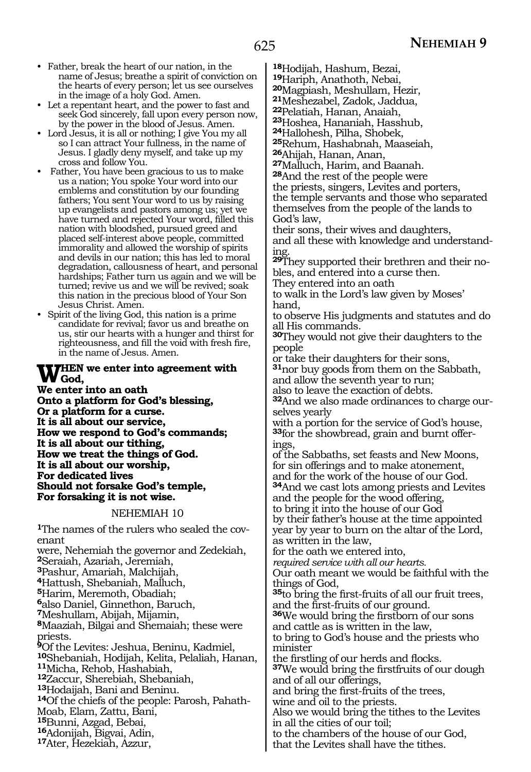- Father, break the heart of our nation, in the name of Jesus; breathe a spirit of conviction on the hearts of every person; let us see ourselves in the image of a holy God. Amen.
- Let a repentant heart, and the power to fast and seek God sincerely, fall upon every person now, by the power in the blood of Jesus. Amen.
- Lord Jesus, it is all or nothing; I give You my all so I can attract Your fullness, in the name of Jesus. I gladly deny myself, and take up my cross and follow You.
- Father, You have been gracious to us to make us a nation; You spoke Your word into our emblems and constitution by our founding fathers; You sent Your word to us by raising up evangelists and pastors among us; yet we have turned and rejected Your word, filled this nation with bloodshed, pursued greed and placed self-interest above people, committed immorality and allowed the worship of spirits and devils in our nation; this has led to moral degradation, callousness of heart, and personal hardships; Father turn us again and we will be turned; revive us and we will be revived; soak this nation in the precious blood of Your Son Jesus Christ. Amen.
- Spirit of the living God, this nation is a prime candidate for revival; favor us and breathe on us, stir our hearts with a hunger and thirst for righteousness, and fill the void with fresh fire, in the name of Jesus. Amen.

# **WHEN** we enter into agreement with<br>We ontarinte an other

**We enter into an oath Onto a platform for God's blessing, Or a platform for a curse. It is all about our service, How we respond to God's commands; It is all about our tithing, How we treat the things of God. It is all about our worship, For dedicated lives Should not forsake God's temple, For forsaking it is not wise.**

#### NEHEMIAH 10

**1**The names of the rulers who sealed the covenant

were, Nehemiah the governor and Zedekiah, Seraiah, Azariah, Jeremiah, Pashur, Amariah, Malchijah, Hattush, Shebaniah, Malluch, Harim, Meremoth, Obadiah; also Daniel, Ginnethon, Baruch, Meshullam, Abijah, Mijamin, Maaziah, Bilgai and Shemaiah; these were priests. Of the Levites: Jeshua, Beninu, Kadmiel, Shebaniah, Hodijah, Kelita, Pelaliah, Hanan, **<sup>11</sup>**Micha, Rehob, Hashabiah, Zaccur, Sherebiah, Shebaniah, Of the chiefs of the people: Parosh, Pahath-Moab, Elam, Zattu, Bani,<br>15Bunni, Azgad, Bebai, Bunni, Azgad, Bebai, **16**Adonijah, Bigvai, Adin, **<sup>17</sup>**Ater, Hezekiah, Azzur,

**<sup>18</sup>**Hodijah, Hashum, Bezai, **<sup>19</sup>**Hariph, Anathoth, Nebai, **20**Magpiash, Meshullam, Hezir, **<sup>21</sup>**Meshezabel, Zadok, Jaddua,

**<sup>22</sup>**Pelatiah, Hanan, Anaiah,

**<sup>23</sup>**Hoshea, Hananiah, Hasshub, **<sup>24</sup>**Hallohesh, Pilha, Shobek,

**<sup>25</sup>**Rehum, Hashabnah, Maaseiah,

<sup>27</sup>Malluch, Harim, and Baanah.

**<sup>28</sup>**And the rest of the people were

the priests, singers, Levites and porters, the temple servants and those who separated themselves from the people of the lands to God's law,

their sons, their wives and daughters, and all these with knowledge and understanding.

**29**They supported their brethren and their nobles, and entered into a curse then.

They entered into an oath

to walk in the Lord's law given by Moses' hand,

to observe His judgments and statutes and do all His commands.

**<sup>30</sup>**They would not give their daughters to the people

or take their daughters for their sons,

**<sup>31</sup>**nor buy goods from them on the Sabbath, and allow the seventh year to run;

also to leave the exaction of debts.

**32**And we also made ordinances to charge ourselves yearly

with a portion for the service of God's house, **33**for the showbread, grain and burnt offerings,

of the Sabbaths, set feasts and New Moons, for sin offerings and to make atonement, and for the work of the house of our God. **<sup>34</sup>**And we cast lots among priests and Levites and the people for the wood offering, to bring it into the house of our God by their father's house at the time appointed

year by year to burn on the altar of the Lord, as written in the law,

for the oath we entered into,

*required service with all our hearts.*

Our oath meant we would be faithful with the things of God,

**<sup>35</sup>**to bring the first-fruits of all our fruit trees,

**36**We would bring the firstborn of our sons and cattle as is written in the law,

to bring to God's house and the priests who minister

the firstling of our herds and flocks. **<sup>37</sup>**We would bring the firstfruits of our dough

and of all our offerings, and bring the first-fruits of the trees,

wine and oil to the priests.

Also we would bring the tithes to the Levites in all the cities of our toil;

to the chambers of the house of our God,

that the Levites shall have the tithes.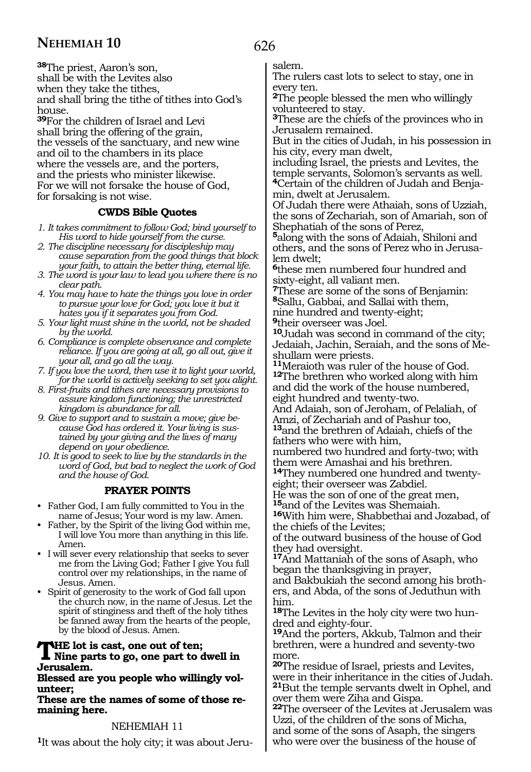**<sup>38</sup>**The priest, Aaron's son, shall be with the Levites also when they take the tithes, and shall bring the tithe of tithes into God's house.

**<sup>39</sup>**For the children of Israel and Levi shall bring the offering of the grain, the vessels of the sanctuary, and new wine and oil to the chambers in its place where the vessels are, and the porters, and the priests who minister likewise. For we will not forsake the house of God, for forsaking is not wise.

# **CWDS Bible Quotes**

- *1. It takes commitment to follow God; bind yourself to His word to hide yourself from the curse.*
- *2. The discipline necessary for discipleship may cause separation from the good things that block your faith, to attain the better thing, eternal life.*
- *3. The word is your law to lead you where there is no clear path.*
- *4. You may have to hate the things you love in order to pursue your love for God; you love it but it hates you if it separates you from God.*
- *5. Your light must shine in the world, not be shaded by the world.*
- *6. Compliance is complete observance and complete reliance. If you are going at all, go all out, give it your all, and go all the way.*
- *7. If you love the word, then use it to light your world, for the world is actively seeking to set you alight.*
- *8. First-fruits and tithes are necessary provisions to assure kingdom functioning; the unrestricted kingdom is abundance for all.*
- *9. Give to support and to sustain a move; give because God has ordered it. Your living is sustained by your giving and the lives of many depend on your obedience.*
- *10. It is good to seek to live by the standards in the word of God, but bad to neglect the work of God and the house of God.*

# **PRAYER POINTS**

- Father God, I am fully committed to You in the name of Jesus; Your word is my law. Amen.
- Father, by the Spirit of the living God within me, I will love You more than anything in this life. Amen.
- I will sever every relationship that seeks to sever me from the Living God; Father I give You full control over my relationships, in the name of Jesus. Amen.
- Spirit of generosity to the work of God fall upon the church now, in the name of Jesus. Let the spirit of stinginess and theft of the holy tithes be fanned away from the hearts of the people, by the blood of Jesus. Amen.

# **THE lot is cast, one out of ten;**<br>Nine parts to go, one part to dwell in **Jerusalem.**

**Blessed are you people who willingly volunteer;**

**These are the names of some of those re- maining here.**

# NEHEMIAH 11

**1**It was about the holy city; it was about Jeru-

# 626

salem.

The rulers cast lots to select to stay, one in every ten.

**<sup>2</sup>**The people blessed the men who willingly volunteered to stay.

**<sup>3</sup>**These are the chiefs of the provinces who in Jerusalem remained.

But in the cities of Judah, in his possession in his city, every man dwelt,

including Israel, the priests and Levites, the temple servants, Solomon's servants as well. **<sup>4</sup>**Certain of the children of Judah and Benja- min, dwelt at Jerusalem.

Of Judah there were Athaiah, sons of Uzziah, the sons of Zechariah, son of Amariah, son of Shephatiah of the sons of Perez,

**<sup>5</sup>**along with the sons of Adaiah, Shiloni and others, and the sons of Perez who in Jerusalem dwelt;

**<sup>6</sup>**these men numbered four hundred and sixty-eight, all valiant men.

**<sup>7</sup>**These are some of the sons of Benjamin: **<sup>8</sup>**Sallu, Gabbai, and Sallai with them,

nine hundred and twenty-eight;

**<sup>9</sup>**their overseer was Joel.

**<sup>10</sup>**Judah was second in command of the city; Jedaiah, Jachin, Seraiah, and the sons of Meshullam were priests.

**<sup>11</sup>**Meraioth was ruler of the house of God. **<sup>12</sup>**The brethren who worked along with him and did the work of the house numbered, eight hundred and twenty-two.

And Adaiah, son of Jeroham, of Pelaliah, of Amzi, of Zechariah and of Pashur too, **<sup>13</sup>**and the brethren of Adaiah, chiefs of the

fathers who were with him, numbered two hundred and forty-two; with

them were Amashai and his brethren. **14**They numbered one hundred and twentyeight; their overseer was Zabdiel.

He was the son of one of the great men,

**<sup>15</sup>**and of the Levites was Shemaiah.

**<sup>16</sup>**With him were, Shabbethai and Jozabad, of the chiefs of the Levites;

of the outward business of the house of God they had oversight.

**<sup>17</sup>**And Mattaniah of the sons of Asaph, who began the thanksgiving in prayer,

and Bakbukiah the second among his brothers, and Abda, of the sons of Jeduthun with him.

**18**The Levites in the holy city were two hundred and eighty-four.

**<sup>19</sup>**And the porters, Akkub, Talmon and their brethren, were a hundred and seventy-two more.

**<sup>20</sup>**The residue of Israel, priests and Levites, were in their inheritance in the cities of Judah. **<sup>21</sup>**But the temple servants dwelt in Ophel, and over them were Ziha and Gispa.

**<sup>22</sup>**The overseer of the Levites at Jerusalem was Uzzi, of the children of the sons of Micha, and some of the sons of Asaph, the singers who were over the business of the house of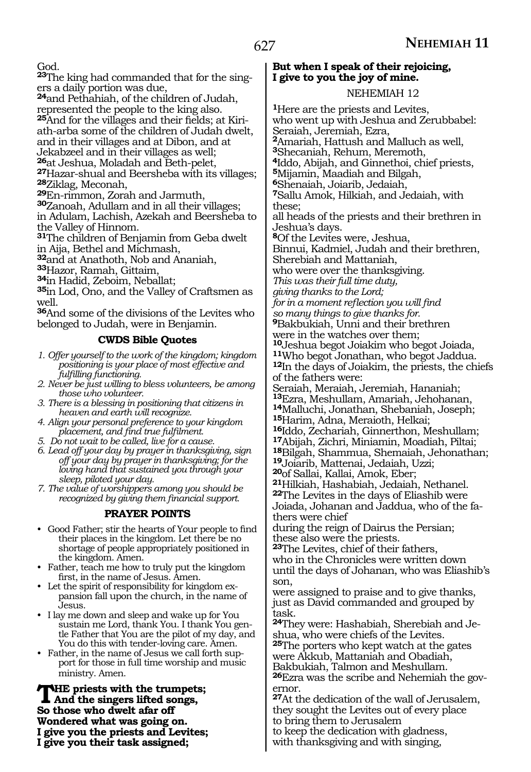God.

**23**The king had commanded that for the singers a daily portion was due,

**<sup>24</sup>**and Pethahiah, of the children of Judah, represented the people to the king also.

**25**And for the villages and their fields; at Kiriath-arba some of the children of Judah dwelt, and in their villages and at Dibon, and at Jekabzeel and in their villages as well;<br>26at Jeshua, Moladah and Beth-pelet, **<sup>26</sup>**at Jeshua, Moladah and Beth-pelet, **27**Hazar-shual and Beersheba with its villages; **<sup>28</sup>**Ziklag, Meconah, **29**En-rimmon, Zorah and Jarmuth,

**<sup>30</sup>**Zanoah, Adullam and in all their villages;

in Adulam, Lachish, Azekah and Beersheba to the Valley of Hinnom.

**<sup>31</sup>**The children of Benjamin from Geba dwelt in Aija, Bethel and Michmash,

**<sup>32</sup>**and at Anathoth, Nob and Ananiah,

**<sup>33</sup>**Hazor, Ramah, Gittaim,

**<sup>34</sup>**in Hadid, Zeboim, Neballat;

**<sup>35</sup>**in Lod, Ono, and the Valley of Craftsmen as well.

**<sup>36</sup>**And some of the divisions of the Levites who belonged to Judah, were in Benjamin.

#### **CWDS Bible Quotes**

- *1. Offer yourself to the work of the kingdom; kingdom positioning is your place of most effective and fulfilling functioning.*
- *2. Never be just willing to bless volunteers, be among those who volunteer.*
- *3. There is a blessing in positioning that citizens in heaven and earth will recognize.*
- *4. Align your personal preference to your kingdom placement, and find true fulfilment.*
- *5. Do not wait to be called, live for a cause.*
- *6. Lead off your day by prayer in thanksgiving, sign off your day by prayer in thanksgiving; for the loving hand that sustained you through your sleep, piloted your day.*

*7. The value of worshippers among you should be recognized by giving them financial support.*

## **PRAYER POINTS**

- Good Father; stir the hearts of Your people to find their places in the kingdom. Let there be no shortage of people appropriately positioned in the kingdom. Amen.
- Father, teach me how to truly put the kingdom first, in the name of Jesus. Amen.
- Let the spirit of responsibility for kingdom expansion fall upon the church, in the name of Jesus.
- I lay me down and sleep and wake up for You sustain me Lord, thank You. I thank You gentle Father that You are the pilot of my day, and You do this with tender-loving care. Amen.
- Father, in the name of Jesus we call forth support for those in full time worship and music ministry. Amen.

**THE priests with the trumpets;**<br>And the singers lifted songs, **So those who dwelt afar off Wondered what was going on. I give you the priests and Levites; I give you their task assigned;**

#### **But when I speak of their rejoicing, I give to you the joy of mine.**

#### NEHEMIAH 12

**<sup>1</sup>**Here are the priests and Levites, who went up with Jeshua and Zerubbabel: Seraiah, Jeremiah, Ezra, **<sup>2</sup>**Amariah, Hattush and Malluch as well, **<sup>3</sup>**Shecaniah, Rehum, Meremoth, **<sup>4</sup>**Iddo, Abijah, and Ginnethoi, chief priests, **<sup>5</sup>**Mijamin, Maadiah and Bilgah, **<sup>6</sup>**Shenaiah, Joiarib, Jedaiah, **<sup>7</sup>**Sallu Amok, Hilkiah, and Jedaiah, with these; all heads of the priests and their brethren in Jeshua's days. **<sup>8</sup>**Of the Levites were, Jeshua, Binnui, Kadmiel, Judah and their brethren, Sherebiah and Mattaniah, who were over the thanksgiving. *This was their full time duty, giving thanks to the Lord; for in a moment reflection you will find so many things to give thanks for.* **<sup>9</sup>**Bakbukiah, Unni and their brethren were in the watches over them;<br><sup>10</sup>Jeshua begot Joiakim who begot Joiada, **11**Who begot Jonathan, who begot Jaddua. **12**In the days of Joiakim, the priests, the chiefs of the fathers were: Seraiah, Meraiah, Jeremiah, Hananiah;<br><sup>13</sup>Ezra, Meshullam, Amariah, Jehohanan, 14<sub>Malluchi, Jonathan, Shebaniah, Joseph;<br><sup>15</sup>Harim, Adna, Meraioth, Helkai;</sub> <sup>16</sup>Iddo, Zechariah, Ginnerthon, Meshullam;<br><sup>17</sup>Abijah, Zichri, Miniamin, Moadiah, Piltai; 18<sub>Bilgah, Shammua, Shemaiah, Jehonathan; **19**Joiarib, Mattenai, Jedaiah, Uzzi;</sub> **<sup>20</sup>**of Sallai, Kallai, Amok, Eber; **<sup>21</sup>**Hilkiah, Hashabiah, Jedaiah, Nethanel. **<sup>22</sup>**The Levites in the days of Eliashib were Joiada, Johanan and Jaddua, who of the fathers were chief during the reign of Dairus the Persian; these also were the priests. **<sup>23</sup>**The Levites, chief of their fathers, who in the Chronicles were written down until the days of Johanan, who was Eliashib's son, were assigned to praise and to give thanks, just as David commanded and grouped by task. **24**They were: Hashabiah, Sherebiah and Jeshua, who were chiefs of the Levites. **<sup>25</sup>**The porters who kept watch at the gates were Akkub, Mattaniah and Obadiah, Bakbukiah, Talmon and Meshullam. **26**Ezra was the scribe and Nehemiah the governor. **<sup>27</sup>**At the dedication of the wall of Jerusalem,

they sought the Levites out of every place to bring them to Jerusalem

to keep the dedication with gladness, with thanksgiving and with singing,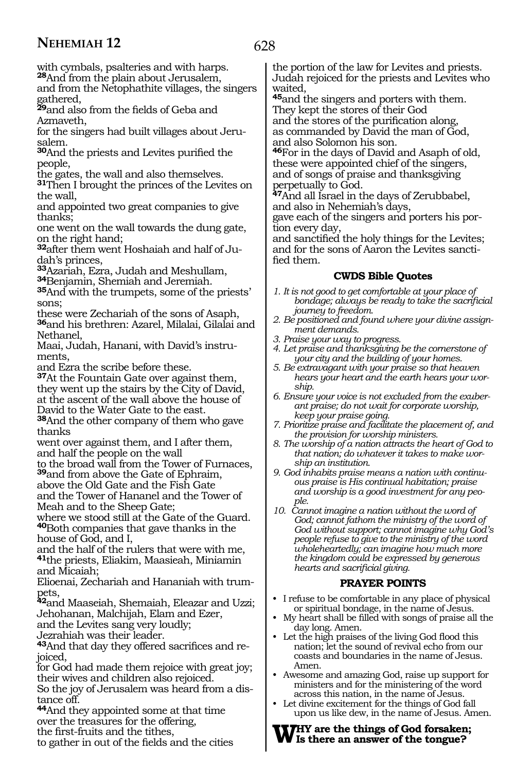628

with cymbals, psalteries and with harps. **<sup>28</sup>**And from the plain about Jerusalem,

and from the Netophathite villages, the singers gathered,

**<sup>29</sup>**and also from the fields of Geba and Azmaveth,

for the singers had built villages about Jerusalem.

**<sup>30</sup>**And the priests and Levites purified the people,

the gates, the wall and also themselves.

**<sup>31</sup>**Then I brought the princes of the Levites on the wall,

and appointed two great companies to give thanks;

one went on the wall towards the dung gate, on the right hand;

**32**after them went Hoshaiah and half of Judah's princes,

**<sup>33</sup>**Azariah, Ezra, Judah and Meshullam,

**35**And with the trumpets, some of the priests' sons;

these were Zechariah of the sons of Asaph, **<sup>36</sup>**and his brethren: Azarel, Milalai, Gilalai and Nethanel,

Maai, Judah, Hanani, with David's instruments,

and Ezra the scribe before these.

**<sup>37</sup>**At the Fountain Gate over against them, they went up the stairs by the City of David, at the ascent of the wall above the house of David to the Water Gate to the east.

**<sup>38</sup>**And the other company of them who gave thanks

went over against them, and I after them, and half the people on the wall

to the broad wall from the Tower of Furnaces, **<sup>39</sup>**and from above the Gate of Ephraim,

above the Old Gate and the Fish Gate and the Tower of Hananel and the Tower of Meah and to the Sheep Gate;

where we stood still at the Gate of the Guard. **<sup>40</sup>**Both companies that gave thanks in the house of God, and I,

and the half of the rulers that were with me, **<sup>41</sup>**the priests, Eliakim, Maasieah, Miniamin

and Micaiah;<br>Elioenai. Zechariah and Hananiah with trum-Elioenai, Zechariah and Hananiah with trum- pets,

**<sup>42</sup>**and Maaseiah, Shemaiah, Eleazar and Uzzi; Jehohanan, Malchijah, Elam and Ezer,

and the Levites sang very loudly;

Jezrahiah was their leader.

**43**And that day they offered sacrifices and rejoiced,

for God had made them rejoice with great joy; their wives and children also rejoiced.

So the joy of Jerusalem was heard from a distance off.

**<sup>44</sup>**And they appointed some at that time over the treasures for the offering,

the first-fruits and the tithes,

to gather in out of the fields and the cities

the portion of the law for Levites and priests. Judah rejoiced for the priests and Levites who waited,

**<sup>45</sup>**and the singers and porters with them. They kept the stores of their God

and the stores of the purification along, as commanded by David the man of God, and also Solomon his son.

**<sup>46</sup>**For in the days of David and Asaph of old, these were appointed chief of the singers, and of songs of praise and thanksgiving perpetually to God.

**<sup>47</sup>**And all Israel in the days of Zerubbabel, and also in Nehemiah's days,

gave each of the singers and porters his portion every day,

and sanctified the holy things for the Levites; and for the sons of Aaron the Levites sanctified them.

#### **CWDS Bible Quotes**

- *1. It is not good to get comfortable at your place of bondage; always be ready to take the sacrificial journey to freedom.*
- *2. Be positioned and found where your divine assignment demands.*
- *3. Praise your way to progress.*
- *4. Let praise and thanksgiving be the cornerstone of your city and the building of your homes.*
- *5. Be extravagant with your praise so that heaven hears your heart and the earth hears your worship.*
- *6. Ensure your voice is not excluded from the exuberant praise; do not wait for corporate worship, keep your praise going.*
- *7. Prioritize praise and facilitate the placement of, and the provision for worship ministers.*
- *8. The worship of a nation attracts the heart of God to that nation; do whatever it takes to make worship an institution.*
- *9. God inhabits praise means a nation with continuous praise is His continual habitation; praise and worship is a good investment for any people.*
- *10. Cannot imagine a nation without the word of God; cannot fathom the ministry of the word of God without support; cannot imagine why God's people refuse to give to the ministry of the word wholeheartedly; can imagine how much more the kingdom could be expressed by generous hearts and sacrificial giving.*

## **PRAYER POINTS**

- I refuse to be comfortable in any place of physical or spiritual bondage, in the name of Jesus.
- My heart shall be filled with songs of praise all the day long. Amen.
- Let the high praises of the living God flood this nation; let the sound of revival echo from our coasts and boundaries in the name of Jesus. Amen.
- Awesome and amazing God, raise up support for ministers and for the ministering of the word across this nation, in the name of Jesus.
- Let divine excitement for the things of God fall upon us like dew, in the name of Jesus. Amen.

#### **Why are the things of God forsaken; Is there an answer of the tongue?**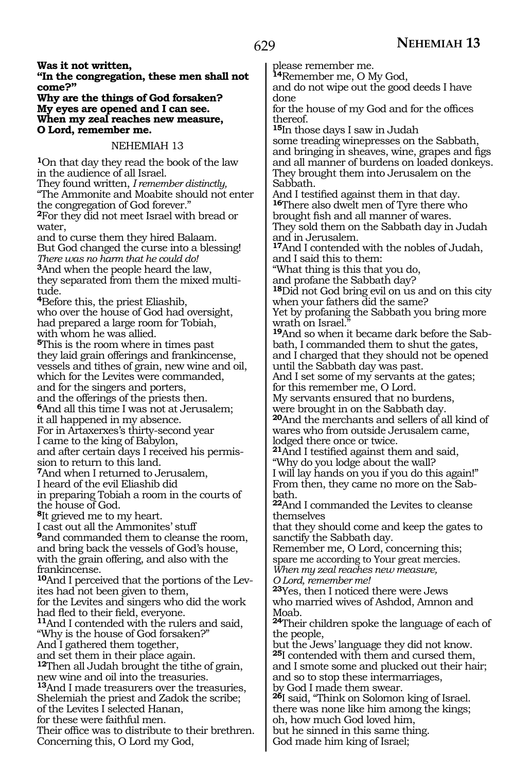**Was it not written,**

**"In the congregation, these men shall not come?"**

**Why are the things of God forsaken? My eyes are opened and I can see. When my zeal reaches new measure, O Lord, remember me.**

#### NEHEMIAH 13

**<sup>1</sup>**On that day they read the book of the law in the audience of all Israel.

They found written, *I remember distinctly,* "The Ammonite and Moabite should not enter the congregation of God forever." **<sup>2</sup>**For they did not meet Israel with bread or

water, and to curse them they hired Balaam.

But God changed the curse into a blessing! *There was no harm that he could do!* **<sup>3</sup>**And when the people heard the law, they separated from them the mixed multitude.

**<sup>4</sup>**Before this, the priest Eliashib, who over the house of God had oversight, had prepared a large room for Tobiah, with whom he was allied.

**<sup>5</sup>**This is the room where in times past they laid grain offerings and frankincense, vessels and tithes of grain, new wine and oil, which for the Levites were commanded, and for the singers and porters,

and the offerings of the priests then.

**<sup>6</sup>**And all this time I was not at Jerusalem; it all happened in my absence.

For in Artaxerxes's thirty-second year I came to the king of Babylon,

and after certain days I received his permission to return to this land.

**<sup>7</sup>**And when I returned to Jerusalem,

I heard of the evil Eliashib did

in preparing Tobiah a room in the courts of the house of God.

**<sup>8</sup>**It grieved me to my heart.

I cast out all the Ammonites' stuff

**<sup>9</sup>**and commanded them to cleanse the room, and bring back the vessels of God's house, with the grain offering, and also with the frankincense.

**10**And I perceived that the portions of the Levites had not been given to them, for the Levites and singers who did the work <sup>11</sup>And I contended with the rulers and said,

"Why is the house of God forsaken?" And I gathered them together,

and set them in their place again.

**<sup>12</sup>**Then all Judah brought the tithe of grain, new wine and oil into the treasuries.

**<sup>13</sup>**And I made treasurers over the treasuries, Shelemiah the priest and Zadok the scribe;

of the Levites I selected Hanan,

for these were faithful men.

Their office was to distribute to their brethren. Concerning this, O Lord my God,

please remember me.

**<sup>14</sup>**Remember me, O My God, and do not wipe out the good deeds I have done

for the house of my God and for the offices thereof.

**<sup>15</sup>**In those days I saw in Judah some treading winepresses on the Sabbath, and bringing in sheaves, wine, grapes and figs and all manner of burdens on loaded donkeys. They brought them into Jerusalem on the

Sabbath.<br>And I testified against them in that day. 16There also dwelt men of Tyre there who brought fish and all manner of wares. They sold them on the Sabbath day in Judah and in Jerusalem.

**<sup>17</sup>**And I contended with the nobles of Judah, and I said this to them:

"What thing is this that you do,

and profane the Sabbath day?

**<sup>18</sup>**Did not God bring evil on us and on this city when your fathers did the same? Yet by profaning the Sabbath you bring more

wrath on Israel." **19**And so when it became dark before the Sabbath, I commanded them to shut the gates, and I charged that they should not be opened

until the Sabbath day was past. And I set some of my servants at the gates;

for this remember me, O Lord.

My servants ensured that no burdens,

were brought in on the Sabbath day. **<sup>20</sup>**And the merchants and sellers of all kind of wares who from outside Jerusalem came, lodged there once or twice.

**<sup>21</sup>**And I testified against them and said, "Why do you lodge about the wall?

I will lay hands on you if you do this again!" From then, they came no more on the Sabbath.

**<sup>22</sup>**And I commanded the Levites to cleanse themselves

that they should come and keep the gates to sanctify the Sabbath day.

Remember me, O Lord, concerning this; spare me according to Your great mercies.

*When my zeal reaches new measure, O Lord, remember me!*

**<sup>23</sup>**Yes, then I noticed there were Jews who married wives of Ashdod, Amnon and Moab.

**<sup>24</sup>**Their children spoke the language of each of the people,

but the Jews' language they did not know. **<sup>25</sup>**I contended with them and cursed them, and I smote some and plucked out their hair; and so to stop these intermarriages,

by God I made them swear.

**<sup>26</sup>**I said, "Think on Solomon king of Israel. there was none like him among the kings; oh, how much God loved him, but he sinned in this same thing.

God made him king of Israel;